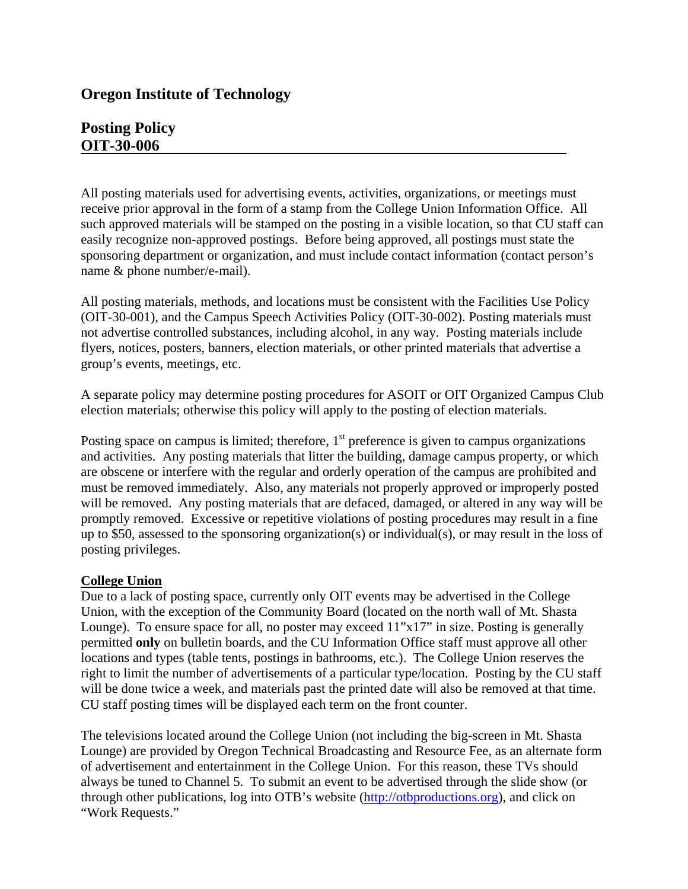## **Oregon Institute of Technology**

## **Posting Policy OIT-30-006**

All posting materials used for advertising events, activities, organizations, or meetings must receive prior approval in the form of a stamp from the College Union Information Office. All such approved materials will be stamped on the posting in a visible location, so that CU staff can easily recognize non-approved postings. Before being approved, all postings must state the sponsoring department or organization, and must include contact information (contact person's name & phone number/e-mail).

All posting materials, methods, and locations must be consistent with the Facilities Use Policy (OIT-30-001), and the Campus Speech Activities Policy (OIT-30-002). Posting materials must not advertise controlled substances, including alcohol, in any way. Posting materials include flyers, notices, posters, banners, election materials, or other printed materials that advertise a group's events, meetings, etc.

A separate policy may determine posting procedures for ASOIT or OIT Organized Campus Club election materials; otherwise this policy will apply to the posting of election materials.

Posting space on campus is limited; therefore,  $1<sup>st</sup>$  preference is given to campus organizations and activities. Any posting materials that litter the building, damage campus property, or which are obscene or interfere with the regular and orderly operation of the campus are prohibited and must be removed immediately. Also, any materials not properly approved or improperly posted will be removed. Any posting materials that are defaced, damaged, or altered in any way will be promptly removed. Excessive or repetitive violations of posting procedures may result in a fine up to \$50, assessed to the sponsoring organization(s) or individual(s), or may result in the loss of posting privileges.

## **College Union**

Due to a lack of posting space, currently only OIT events may be advertised in the College Union, with the exception of the Community Board (located on the north wall of Mt. Shasta Lounge). To ensure space for all, no poster may exceed 11"x17" in size. Posting is generally permitted **only** on bulletin boards, and the CU Information Office staff must approve all other locations and types (table tents, postings in bathrooms, etc.). The College Union reserves the right to limit the number of advertisements of a particular type/location. Posting by the CU staff will be done twice a week, and materials past the printed date will also be removed at that time. CU staff posting times will be displayed each term on the front counter.

The televisions located around the College Union (not including the big-screen in Mt. Shasta Lounge) are provided by Oregon Technical Broadcasting and Resource Fee, as an alternate form of advertisement and entertainment in the College Union. For this reason, these TVs should always be tuned to Channel 5. To submit an event to be advertised through the slide show (or through other publications, log into OTB's website ([http://otbproductions.org\)](http://otbproductions.org/), and click on "Work Requests."